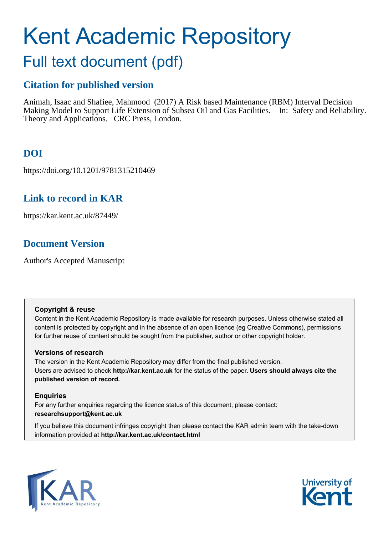# Kent Academic Repository

## Full text document (pdf)

## **Citation for published version**

Animah, Isaac and Shafiee, Mahmood (2017) A Risk based Maintenance (RBM) Interval Decision Making Model to Support Life Extension of Subsea Oil and Gas Facilities. In: Safety and Reliability. Theory and Applications. CRC Press, London.

## **DOI**

https://doi.org/10.1201/9781315210469

## **Link to record in KAR**

https://kar.kent.ac.uk/87449/

## **Document Version**

Author's Accepted Manuscript

#### **Copyright & reuse**

Content in the Kent Academic Repository is made available for research purposes. Unless otherwise stated all content is protected by copyright and in the absence of an open licence (eg Creative Commons), permissions for further reuse of content should be sought from the publisher, author or other copyright holder.

#### **Versions of research**

The version in the Kent Academic Repository may differ from the final published version. Users are advised to check **http://kar.kent.ac.uk** for the status of the paper. **Users should always cite the published version of record.**

#### **Enquiries**

For any further enquiries regarding the licence status of this document, please contact: **researchsupport@kent.ac.uk**

If you believe this document infringes copyright then please contact the KAR admin team with the take-down information provided at **http://kar.kent.ac.uk/contact.html**



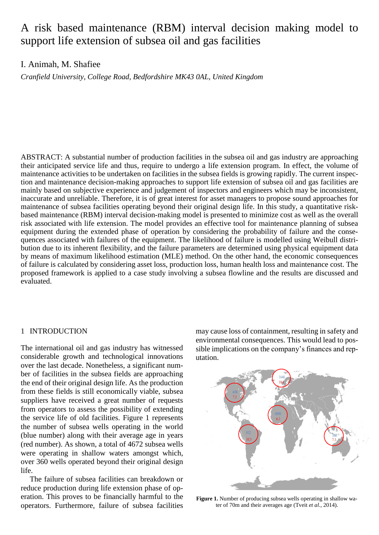## A risk based maintenance (RBM) interval decision making model to support life extension of subsea oil and gas facilities

#### I. Animah, M. Shafiee

*Cranfield University, College Road, Bedfordshire MK43 0AL, United Kingdom*

ABSTRACT: A substantial number of production facilities in the subsea oil and gas industry are approaching their anticipated service life and thus, require to undergo a life extension program. In effect, the volume of maintenance activities to be undertaken on facilities in the subsea fields is growing rapidly. The current inspection and maintenance decision-making approaches to support life extension of subsea oil and gas facilities are mainly based on subjective experience and judgement of inspectors and engineers which may be inconsistent, inaccurate and unreliable. Therefore, it is of great interest for asset managers to propose sound approaches for maintenance of subsea facilities operating beyond their original design life. In this study, a quantitative riskbased maintenance (RBM) interval decision-making model is presented to minimize cost as well as the overall risk associated with life extension. The model provides an effective tool for maintenance planning of subsea equipment during the extended phase of operation by considering the probability of failure and the consequences associated with failures of the equipment. The likelihood of failure is modelled using Weibull distribution due to its inherent flexibility, and the failure parameters are determined using physical equipment data by means of maximum likelihood estimation (MLE) method. On the other hand, the economic consequences of failure is calculated by considering asset loss, production loss, human health loss and maintenance cost. The proposed framework is applied to a case study involving a subsea flowline and the results are discussed and evaluated.

#### 1 INTRODUCTION

The international oil and gas industry has witnessed considerable growth and technological innovations over the last decade. Nonetheless, a significant number of facilities in the subsea fields are approaching the end of their original design life. As the production from these fields is still economically viable, subsea suppliers have received a great number of requests from operators to assess the possibility of extending the service life of old facilities. Figure 1 represents the number of subsea wells operating in the world (blue number) along with their average age in years (red number). As shown, a total of 4672 subsea wells were operating in shallow waters amongst which, over 360 wells operated beyond their original design life.

The failure of subsea facilities can breakdown or reduce production during life extension phase of operation. This proves to be financially harmful to the operators. Furthermore, failure of subsea facilities

may cause loss of containment, resulting in safety and environmental consequences. This would lead to possible implications on the company's finances and reputation.



**Figure 1.** Number of producing subsea wells operating in shallow water of 70m and their averages age (Tveit *et al.*, 2014).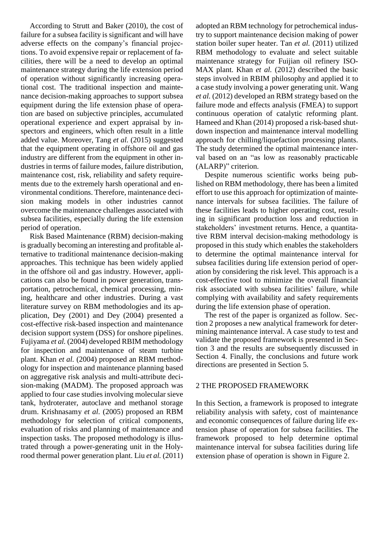According to Strutt and Baker (2010), the cost of failure for a subsea facility is significant and will have adverse effects on the company's financial projections. To avoid expensive repair or replacement of facilities, there will be a need to develop an optimal maintenance strategy during the life extension period of operation without significantly increasing operational cost. The traditional inspection and maintenance decision-making approaches to support subsea equipment during the life extension phase of operation are based on subjective principles, accumulated operational experience and expert appraisal by inspectors and engineers, which often result in a little added value. Moreover, Tang *et al.* (2015) suggested that the equipment operating in offshore oil and gas industry are different from the equipment in other industries in terms of failure modes, failure distribution, maintenance cost, risk, reliability and safety requirements due to the extremely harsh operational and environmental conditions. Therefore, maintenance decision making models in other industries cannot overcome the maintenance challenges associated with subsea facilities, especially during the life extension period of operation.

Risk Based Maintenance (RBM) decision-making is gradually becoming an interesting and profitable alternative to traditional maintenance decision-making approaches. This technique has been widely applied in the offshore oil and gas industry. However, applications can also be found in power generation, transportation, petrochemical, chemical processing, mining, healthcare and other industries. During a vast literature survey on RBM methodologies and its application, Dey (2001) and Dey (2004) presented a cost-effective risk-based inspection and maintenance decision support system (DSS) for onshore pipelines. Fujiyama *et al.* (2004) developed RBIM methodology for inspection and maintenance of steam turbine plant. Khan *et al.* (2004) proposed an RBM methodology for inspection and maintenance planning based on aggregative risk analysis and multi-attribute decision-making (MADM). The proposed approach was applied to four case studies involving molecular sieve tank, hydroterater, autoclave and methanol storage drum. Krishnasamy *et al.* (2005) proposed an RBM methodology for selection of critical components, evaluation of risks and planning of maintenance and inspection tasks. The proposed methodology is illustrated through a power-generating unit in the Holyrood thermal power generation plant. Liu *et al.* (2011) adopted an RBM technology for petrochemical industry to support maintenance decision making of power station boiler super heater. Tan *et al.* (2011) utilized RBM methodology to evaluate and select suitable maintenance strategy for Fuijian oil refinery ISO-MAX plant. Khan *et al.* (2012) described the basic steps involved in RBIM philosophy and applied it to a case study involving a power generating unit. Wang *et al.* (2012) developed an RBM strategy based on the failure mode and effects analysis (FMEA) to support continuous operation of catalytic reforming plant. Hameed and Khan (2014) proposed a risk-based shutdown inspection and maintenance interval modelling approach for chilling/liquefaction processing plants. The study determined the optimal maintenance interval based on an "as low as reasonably practicable (ALARP)" criterion.

Despite numerous scientific works being published on RBM methodology, there has been a limited effort to use this approach for optimization of maintenance intervals for subsea facilities. The failure of these facilities leads to higher operating cost, resulting in significant production loss and reduction in stakeholders' investment returns. Hence, a quantitative RBM interval decision-making methodology is proposed in this study which enables the stakeholders to determine the optimal maintenance interval for subsea facilities during life extension period of operation by considering the risk level. This approach is a cost-effective tool to minimize the overall financial risk associated with subsea facilities' failure, while complying with availability and safety requirements during the life extension phase of operation.

The rest of the paper is organized as follow. Section 2 proposes a new analytical framework for determining maintenance interval. A case study to test and validate the proposed framework is presented in Section 3 and the results are subsequently discussed in Section 4. Finally, the conclusions and future work directions are presented in Section 5.

#### 2 THE PROPOSED FRAMEWORK

In this Section, a framework is proposed to integrate reliability analysis with safety, cost of maintenance and economic consequences of failure during life extension phase of operation for subsea facilities. The framework proposed to help determine optimal maintenance interval for subsea facilities during life extension phase of operation is shown in Figure 2.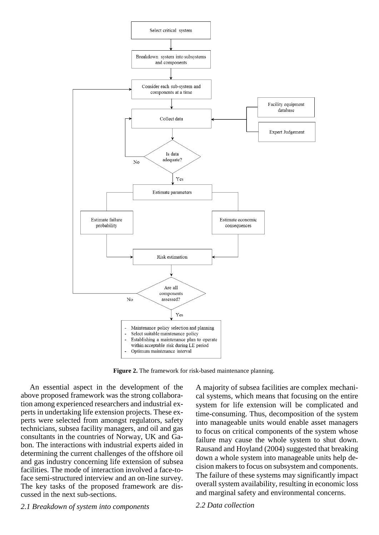

Figure 2. The framework for risk-based maintenance planning.

An essential aspect in the development of the above proposed framework was the strong collaboration among experienced researchers and industrial experts in undertaking life extension projects. These experts were selected from amongst regulators, safety technicians, subsea facility managers, and oil and gas consultants in the countries of Norway, UK and Gabon. The interactions with industrial experts aided in determining the current challenges of the offshore oil and gas industry concerning life extension of subsea facilities. The mode of interaction involved a face-toface semi-structured interview and an on-line survey. The key tasks of the proposed framework are discussed in the next sub-sections.

A majority of subsea facilities are complex mechanical systems, which means that focusing on the entire system for life extension will be complicated and time-consuming. Thus, decomposition of the system into manageable units would enable asset managers to focus on critical components of the system whose failure may cause the whole system to shut down. Rausand and Hoyland (2004) suggested that breaking down a whole system into manageable units help decision makers to focus on subsystem and components. The failure of these systems may significantly impact overall system availability, resulting in economic loss and marginal safety and environmental concerns.

*2.1 Breakdown of system into components*

*2.2 Data collection*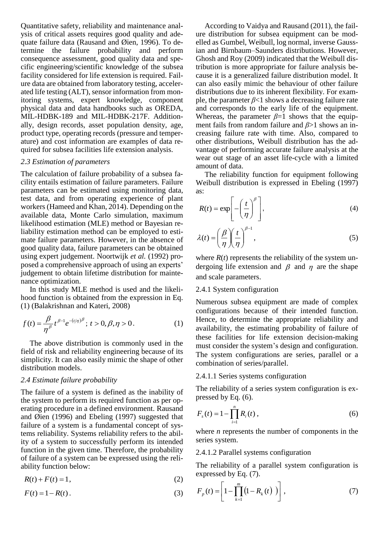Quantitative safety, reliability and maintenance analysis of critical assets requires good quality and adequate failure data (Rausand and Øien, 1996). To determine the failure probability and perform consequence assessment, good quality data and specific engineering/scientific knowledge of the subsea facility considered for life extension is required. Failure data are obtained from laboratory testing, accelerated life testing (ALT), sensor information from monitoring systems, expert knowledge, component physical data and data handbooks such as OREDA, MIL-HDBK-189 and MIL-HDBK-217F. Additionally, design records, asset population density, age, product type, operating records (pressure and temperature) and cost information are examples of data required for subsea facilities life extension analysis.

#### *2.3 Estimation of parameters*

The calculation of failure probability of a subsea facility entails estimation of failure parameters. Failure parameters can be estimated using monitoring data, test data, and from operating experience of plant workers(Hameed and Khan, 2014). Depending on the available data, Monte Carlo simulation, maximum likelihood estimation (MLE) method or Bayesian reliability estimation method can be employed to estimate failure parameters. However, in the absence of good quality data, failure parameters can be obtained using expert judgement. Noortwijk *et al.* (1992) proposed a comprehensive approach of using an experts' judgement to obtain lifetime distribution for maintenance optimization.

In this study MLE method is used and the likelihood function is obtained from the expression in Eq. (1) (Balakrishnan and Kateri, 2008)

$$
f(t) = \frac{\beta}{\eta^{\beta}} t^{\beta - 1} e^{-(t/\eta)^{\beta}}; \ t > 0, \beta, \eta > 0.
$$
 (1)

The above distribution is commonly used in the field of risk and reliability engineering because of its simplicity. It can also easily mimic the shape of other distribution models.

#### *2.4 Estimate failure probability*

The failure of a system is defined as the inability of the system to perform its required function as per operating procedure in a defined environment. Rausand and Øien (1996) and Ebeling (1997) suggested that failure of a system is a fundamental concept of systems reliability. Systems reliability refers to the ability of a system to successfully perform its intended function in the given time. Therefore, the probability of failure of a system can be expressed using the reliability function below:

$$
R(t) + F(t) = 1,\t\t(2)
$$

$$
F(t) = 1 - R(t). \tag{3}
$$

According to Vaidya and Rausand (2011), the failure distribution for subsea equipment can be modelled as Gumbel, Weibull, log normal, inverse Gaussian and Birnbaum–Saunders distributions. However, Ghosh and Roy (2009) indicated that the Weibull distribution is more appropriate for failure analysis because it is a generalized failure distribution model. It can also easily mimic the behaviour of other failure distributions due to its inherent flexibility. For example, the parameter *β*<1 shows a decreasing failure rate and corresponds to the early life of the equipment. Whereas, the parameter  $\beta=1$  shows that the equipment fails from random failure and *β*>1 shows an increasing failure rate with time. Also, compared to other distributions, Weibull distribution has the advantage of performing accurate failure analysis at the wear out stage of an asset life-cycle with a limited amount of data.

The reliability function for equipment following Weibull distribution is expressed in Ebeling (1997) as:

$$
R(t) = \exp\left[-\left(\frac{t}{\eta}\right)^{\beta}\right],
$$
\n(4)

$$
\lambda(t) = \left(\frac{\beta}{\eta}\right)\left(\frac{t}{\eta}\right)^{\beta-1},\tag{5}
$$

where  $R(t)$  represents the reliability of the system undergoing life extension and  $\beta$  and  $\eta$  are the shape and scale parameters.

#### 2.4.1 System configuration

Numerous subsea equipment are made of complex configurations because of their intended function. Hence, to determine the appropriate reliability and availability, the estimating probability of failure of these facilities for life extension decision-making must consider the system's design and configuration. The system configurations are series, parallel or a combination of series/parallel.

#### 2.4.1.1 Series systems configuration

The reliability of a series system configuration is expressed by Eq. (6).

$$
F_s(t) = 1 - \prod_{i=1}^n R_i(t) , \qquad (6)
$$

where *n* represents the number of components in the series system.

#### 2.4.1.2 Parallel systems configuration

The reliability of a parallel system configuration is expressed by Eq. (7).

$$
F_p(t) = \left[1 - \prod_{k=1}^{m} (1 - R_k(t))\right],
$$
\n(7)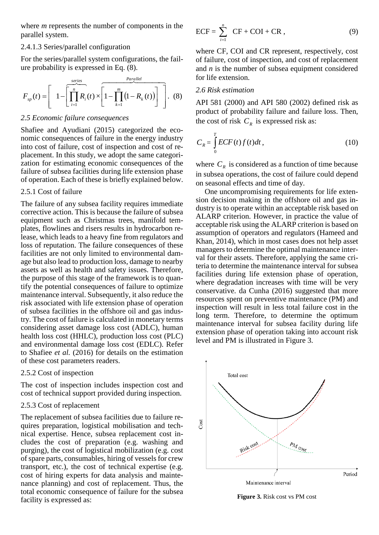where *m* represents the number of components in the parallel system.

#### 2.4.1.3 Series/parallel configuration

For the series/parallel system configurations, the failure probability is expressed in Eq. (8).

$$
F_{sp}(t) = \left[ 1 - \left[ \prod_{i=1}^{n} R_i(t) \times \left[ 1 - \prod_{k=1}^{m} \left( 1 - R_k(t) \right) \right] \right], (8)
$$

#### *2.5 Economic failure consequences*

Shafiee and Ayudiani (2015) categorized the economic consequences of failure in the energy industry into cost of failure, cost of inspection and cost of replacement. In this study, we adopt the same categorization for estimating economic consequences of the failure of subsea facilities during life extension phase of operation. Each of these is briefly explained below.

#### 2.5.1 Cost of failure

The failure of any subsea facility requires immediate corrective action. This is because the failure of subsea equipment such as Christmas trees, manifold templates, flowlines and risers results in hydrocarbon release, which leads to a heavy fine from regulators and loss of reputation. The failure consequences of these facilities are not only limited to environmental damage but also lead to production loss, damage to nearby assets as well as health and safety issues. Therefore, the purpose of this stage of the framework is to quantify the potential consequences of failure to optimize maintenance interval. Subsequently, it also reduce the risk associated with life extension phase of operation of subsea facilities in the offshore oil and gas industry. The cost of failure is calculated in monetary terms considering asset damage loss cost (ADLC), human health loss cost (HHLC), production loss cost (PLC) and environmental damage loss cost (EDLC). Refer to Shafiee *et al.* (2016) for details on the estimation of these cost parameters readers.

#### 2.5.2 Cost of inspection

The cost of inspection includes inspection cost and cost of technical support provided during inspection.

#### 2.5.3 Cost of replacement

The replacement of subsea facilities due to failure requires preparation, logistical mobilisation and technical expertise. Hence, subsea replacement cost includes the cost of preparation (e.g. washing and purging), the cost of logistical mobilization (e.g. cost of spare parts, consumables, hiring of vessels for crew transport, etc.), the cost of technical expertise (e.g. cost of hiring experts for data analysis and maintenance planning) and cost of replacement. Thus, the total economic consequence of failure for the subsea facility is expressed as:

$$
ECF = \sum_{i=1}^{n} CF + COI + CR, \qquad (9)
$$

where CF, COI and CR represent, respectively, cost of failure, cost of inspection, and cost of replacement and *n* is the number of subsea equipment considered for life extension.

#### *2.6 Risk estimation*

API 581 (2000) and API 580 (2002) defined risk as product of probability failure and failure loss. Then, the cost of risk  $C_R$  is expressed risk as:

$$
C_R = \int_0^T ECF(t)f(t)dt,
$$
\n(10)

where  $C_R$  is considered as a function of time because in subsea operations, the cost of failure could depend on seasonal effects and time of day.

One uncompromising requirements for life extension decision making in the offshore oil and gas industry is to operate within an acceptable risk based on ALARP criterion. However, in practice the value of acceptable risk using the ALARP criterion is based on assumption of operators and regulators (Hameed and Khan, 2014), which in most cases does not help asset managers to determine the optimal maintenance interval for their assets. Therefore, applying the same criteria to determine the maintenance interval for subsea facilities during life extension phase of operation, where degradation increases with time will be very conservative. da Cunha (2016) suggested that more resources spent on preventive maintenance (PM) and inspection will result in less total failure cost in the long term. Therefore, to determine the optimum maintenance interval for subsea facility during life extension phase of operation taking into account risk level and PM is illustrated in Figure 3.



**Figure 3.** Risk cost vs PM cost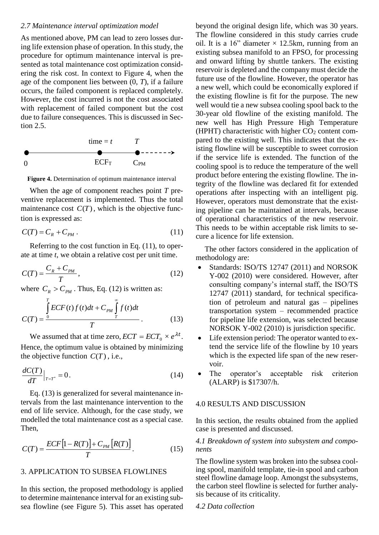#### *2.7 Maintenance interval optimization model*

As mentioned above, PM can lead to zero losses during life extension phase of operation. In this study, the procedure for optimum maintenance interval is presented as total maintenance cost optimization considering the risk cost. In context to Figure 4, when the age of the component lies between (0, *T*), if a failure occurs, the failed component is replaced completely. However, the cost incurred is not the cost associated with replacement of failed component but the cost due to failure consequences. This is discussed in Section 2.5.



**Figure 4.** Determination of optimum maintenance interval

When the age of component reaches point *T* preventive replacement is implemented. Thus the total maintenance cost  $C(T)$ , which is the objective function is expressed as:

$$
C(T) = C_R + C_{PM} \tag{11}
$$

Referring to the cost function in Eq. (11), to operate at time *t*, we obtain a relative cost per unit time.

$$
C(T) = \frac{C_R + C_{PM}}{T},\tag{12}
$$

where  $C_R > C_{PM}$ . Thus, Eq. (12) is written as:

$$
C(T) = \frac{\int_{0}^{T} ECF(t)f(t)dt + C_{PM}\int_{T}^{\infty} f(t)dt}{T}.
$$
 (13)

We assumed that at time zero,  $ECT = ECT_0 \times e^{\lambda t}$ . Hence, the optimum value is obtained by minimizing the objective function  $C(T)$ , i.e.,

$$
\frac{dC(T)}{dT}\Big|_{T=T^*} = 0.
$$
\n(14)

Eq. (13) is generalized for several maintenance intervals from the last maintenance intervention to the end of life service. Although, for the case study, we modelled the total maintenance cost as a special case. Then,

$$
C(T) = \frac{ECF\left[1 - R(T)\right] + C_{PM}\left[R(T)\right]}{T}.\tag{15}
$$

#### 3. APPLICATION TO SUBSEA FLOWLINES

In this section, the proposed methodology is applied to determine maintenance interval for an existing subsea flowline (see Figure 5). This asset has operated beyond the original design life, which was 30 years. The flowline considered in this study carries crude oil. It is a 16" diameter  $\times$  12.5km, running from an existing subsea manifold to an FPSO, for processing and onward lifting by shuttle tankers. The existing reservoir is depleted and the company must decide the future use of the flowline. However, the operator has a new well, which could be economically explored if the existing flowline is fit for the purpose. The new well would tie a new subsea cooling spool back to the 30-year old flowline of the existing manifold. The new well has High Pressure High Temperature (HPHT) characteristic with higher  $CO<sub>2</sub>$  content compared to the existing well. This indicates that the existing flowline will be susceptible to sweet corrosion if the service life is extended. The function of the cooling spool is to reduce the temperature of the well product before entering the existing flowline. The integrity of the flowline was declared fit for extended operations after inspecting with an intelligent pig. However, operators must demonstrate that the existing pipeline can be maintained at intervals, because of operational characteristics of the new reservoir. This needs to be within acceptable risk limits to secure a licence for life extension.

The other factors considered in the application of methodology are:

- Standards: ISO/TS 12747 (2011) and NORSOK Y-002 (2010) were considered. However, after consulting company's internal staff, the ISO/TS 12747 (2011) standard, for technical specification of petroleum and natural gas – pipelines transportation system – recommended practice for pipeline life extension, was selected because NORSOK Y-002 (2010) is jurisdiction specific.
- Life extension period: The operator wanted to extend the service life of the flowline by 10 years which is the expected life span of the new reservoir.
- The operator's acceptable risk criterion (ALARP) is \$17307/h.

#### 4.0 RESULTS AND DISCUSSION

In this section, the results obtained from the applied case is presented and discussed.

#### *4.1 Breakdown of system into subsystem and components*

The flowline system was broken into the subsea cooling spool, manifold template, tie-in spool and carbon steel flowline damage loop. Amongst the subsystems, the carbon steel flowline is selected for further analysis because of its criticality.

#### *4.2 Data collection*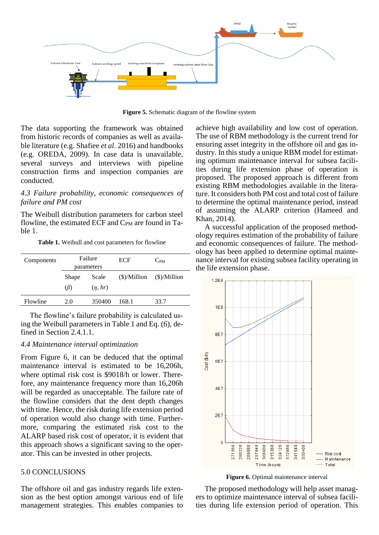

**Figure 5.** Schematic diagram of the flowline system

The data supporting the framework was obtained from historic records of companies as well as available literature (e.g. Shafiee *et al*. 2016) and handbooks (e.g. OREDA, 2009). In case data is unavailable, several surveys and interviews with pipeline construction firms and inspection companies are conducted.

#### *4.3 Failure probability, economic consequences of failure and PM cost*

The Weibull distribution parameters for carbon steel flowline, the estimated ECF and  $C_{PM}$  are found in Table 1.

**Table 1.** Weibull and cost parameters for flowline

| Components | Failure<br>parameters |         | <b>ECF</b>             | $C_{PM}$               |
|------------|-----------------------|---------|------------------------|------------------------|
|            |                       |         |                        |                        |
|            | Shape                 | Scale   | $(\text{\$})/$ Million | $(\text{\$})/$ Million |
|            | $(\beta)$             | (n, hr) |                        |                        |
| Flowline   | 2.0                   | 350400  | 168.1                  | 33.7                   |
|            |                       |         |                        |                        |

The flowline's failure probability is calculated using the Weibull parameters in Table 1 and Eq. (6), defined in Section 2.4.1.1.

#### *4.4 Maintenance interval optimization*

From Figure 6, it can be deduced that the optimal maintenance interval is estimated to be 16,206h, where optimal risk cost is \$9018/h or lower. Therefore, any maintenance frequency more than 16,206h will be regarded as unacceptable. The failure rate of the flowline considers that the dent depth changes with time. Hence, the risk during life extension period of operation would also change with time. Furthermore, comparing the estimated risk cost to the ALARP based risk cost of operator, it is evident that this approach shows a significant saving to the operator. This can be invested in other projects.

#### 5.0 CONCLUSIONS

The offshore oil and gas industry regards life extension as the best option amongst various end of life management strategies. This enables companies to

achieve high availability and low cost of operation. The use of RBM methodology is the current trend for ensuring asset integrity in the offshore oil and gas industry. In this study a unique RBM model for estimating optimum maintenance interval for subsea facilities during life extension phase of operation is proposed. The proposed approach is different from existing RBM methodologies available in the literature. It considers both PM cost and total cost of failure to determine the optimal maintenance period, instead of assuming the ALARP criterion (Hameed and Khan, 2014).

A successful application of the proposed methodology requires estimation of the probability of failure and economic consequences of failure. The methodology has been applied to determine optimal maintenance interval for existing subsea facility operating in the life extension phase.



**Figure 6.** Optimal maintenance interval

The proposed methodology will help asset managers to optimize maintenance interval of subsea facilities during life extension period of operation. This